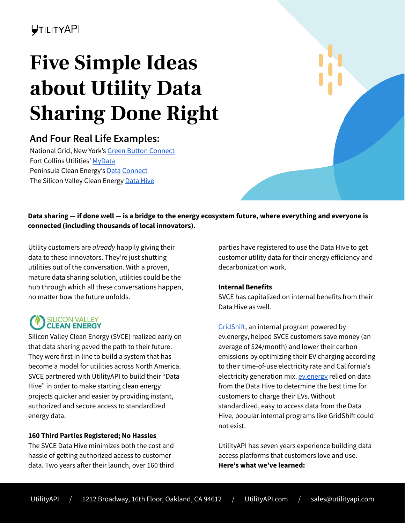### **UTILITYAPI**

# **Five Simple Ideas about Utility Data Sharing Done Right**

### **And Four Real Life Examples:**

National Grid, New York's [Green Button Connect](https://www.nationalgridus.com/Upstate-NY-Home/More-Efficiency-Solutions/green-button-connect) Fort Collins Utilities' [MyData](https://data.fcgov.utilityapi.com/) Peninsula Clean Energy's [Data Connect](https://www.peninsulacleanenergy.com/data-connect/) The Silicon Valley Clean Energy [Data Hive](https://data.svcleanenergy.org/)

#### **Data sharing — if done well — is a bridge to the energy ecosystem future, where everything and everyone is connected (including thousands of local innovators).**

Utility customers are *already* happily giving their data to these innovators. They're just shutting utilities out of the conversation. With a proven, mature data sharing solution, utilities could be the hub through which all these conversations happen, no matter how the future unfolds.

# SILICON VALLEY<br>**CLEAN ENERGY**

Silicon Valley Clean Energy (SVCE) realized early on that data sharing paved the path to their future. They were first in line to build a system that has become a model for utilities across North America. SVCE partnered with UtilityAPI to build their "Data Hive" in order to make starting clean energy projects quicker and easier by providing instant, authorized and secure access to standardized energy data.

#### **160 Third Parties Registered; No Hassles**

The SVCE Data Hive minimizes both the cost and hassle of getting authorized access to customer data. Two years after their launch, over 160 third

parties have registered to use the Data Hive to get customer utility data for their energy efficiency and decarbonization work.

#### **Internal Benefits**

SVCE has capitalized on internal benefits from their Data Hive as well.

[GridShift,](https://www.svcleanenergy.org/gridshift-ev/?_branch_match_id=952326095167114051&utm_campaign=SVCE%20Wave%20II&utm_medium=marketing&_branch_referrer=H4sIAAAAAAAAA8soKSkottLXL8otzTLSSywo0MvJzMvWT4wMdw0xdfTyzUoCAObvZhciAAAA) an internal program powered by ev.energy, helped SVCE customers save money (an average of \$24/month) and lower their carbon emissions by optimizing their EV charging according to their time-of-use electricity rate and California's electricity generation mix. **ev. energy** relied on data from the Data Hive to determine the best time for customers to charge their EVs. Without standardized, easy to access data from the Data Hive, popular internal programs like GridShift could not exist.

UtilityAPI has seven years experience building data access platforms that customers love and use. **Here's what we've learned:**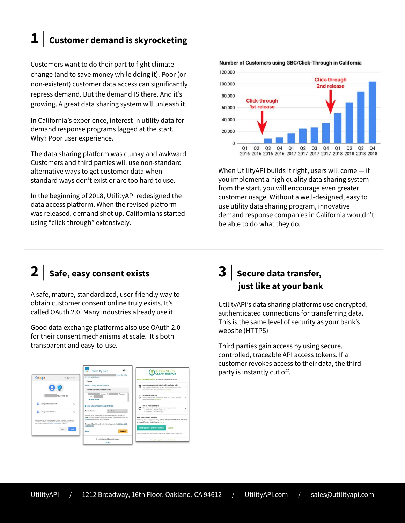## **1** | **Customer demand is skyrocketing**

Customers want to do their part to fight climate change (and to save money while doing it). Poor (or non-existent) customer data access can significantly repress demand. But the demand IS there. And it's growing. A great data sharing system will unleash it.

In California's experience, interest in utility data for demand response programs lagged at the start. Why? Poor user experience.

The data sharing platform was clunky and awkward. Customers and third parties will use non-standard alternative ways to get customer data when standard ways don't exist or are too hard to use.

In the beginning of 2018, UtilityAPI redesigned the data access platform. When the revised platform was released, demand shot up. Californians started using "click-through" extensively.

#### Number of Customers using GBC/Click-Through in California



When UtilityAPI builds it right, users will come — if you implement a high quality data sharing system from the start, you will encourage even greater customer usage. Without a well-designed, easy to use utility data sharing program, innovative demand response companies in California wouldn't be able to do what they do.

# **2** | **Safe, easy consent exists**

A safe, mature, standardized, user-friendly way to obtain customer consent online truly exists. It's called OAuth 2.0. Many industries already use it.

Good data exchange platforms also use OAuth 2.0 for their consent mechanisms at scale. It's both transparent and easy-to-use.



### **3** | **Secure data transfer, just like at your bank**

UtilityAPI's data sharing platforms use encrypted, authenticated connections for transferring data. This is the same level of security as your bank's website (HTTPS)

Third parties gain access by using secure, controlled, traceable API access tokens. If a customer revokes access to their data, the third party is instantly cut off.